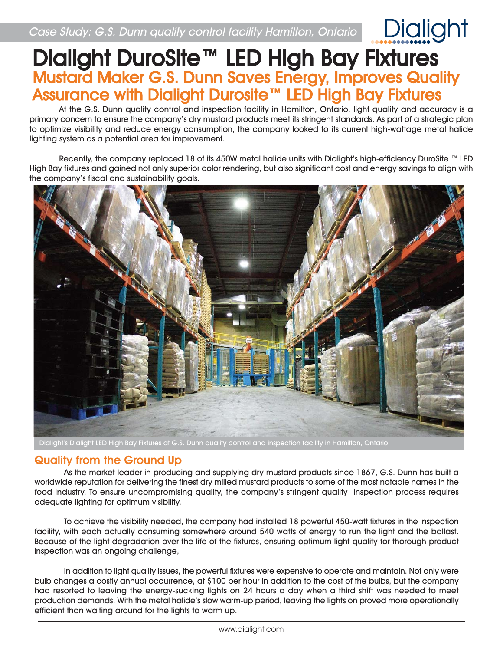# Dialight DuroSite™ LED High Bay Fixtures Mustard Maker G.S. Dunn Saves Energy, Improves Quality Assurance with Dialight Durosite™ LED High Bay Fixtures

At the G.S. Dunn quality control and inspection facility in Hamilton, Ontario, light quality and accuracy is a primary concern to ensure the company's dry mustard products meet its stringent standards. As part of a strategic plan to optimize visibility and reduce energy consumption, the company looked to its current high-wattage metal halide lighting system as a potential area for improvement.

Recently, the company replaced 18 of its 450W metal halide units with Dialight's high-efficiency DuroSite ™ LED High Bay fixtures and gained not only superior color rendering, but also significant cost and energy savings to align with the company's fiscal and sustainability goals.



Dialight's Dialight LED High Bay Fixtures at G.S. Dunn quality control and inspection facility in Hamilton, Ontario

### Quality from the Ground Up

As the market leader in producing and supplying dry mustard products since 1867, G.S. Dunn has built a worldwide reputation for delivering the finest dry milled mustard products to some of the most notable names in the food industry. To ensure uncompromising quality, the company's stringent quality inspection process requires adequate lighting for optimum visibility.

To achieve the visibility needed, the company had installed 18 powerful 450-watt fixtures in the inspection facility, with each actually consuming somewhere around 540 watts of energy to run the light and the ballast. Because of the light degradation over the life of the fixtures, ensuring optimum light quality for thorough product inspection was an ongoing challenge,

 In addition to light quality issues, the powerful fixtures were expensive to operate and maintain. Not only were bulb changes a costly annual occurrence, at \$100 per hour in addition to the cost of the bulbs, but the company had resorted to leaving the energy-sucking lights on 24 hours a day when a third shift was needed to meet production demands. With the metal halide's slow warm-up period, leaving the lights on proved more operationally efficient than waiting around for the lights to warm up.